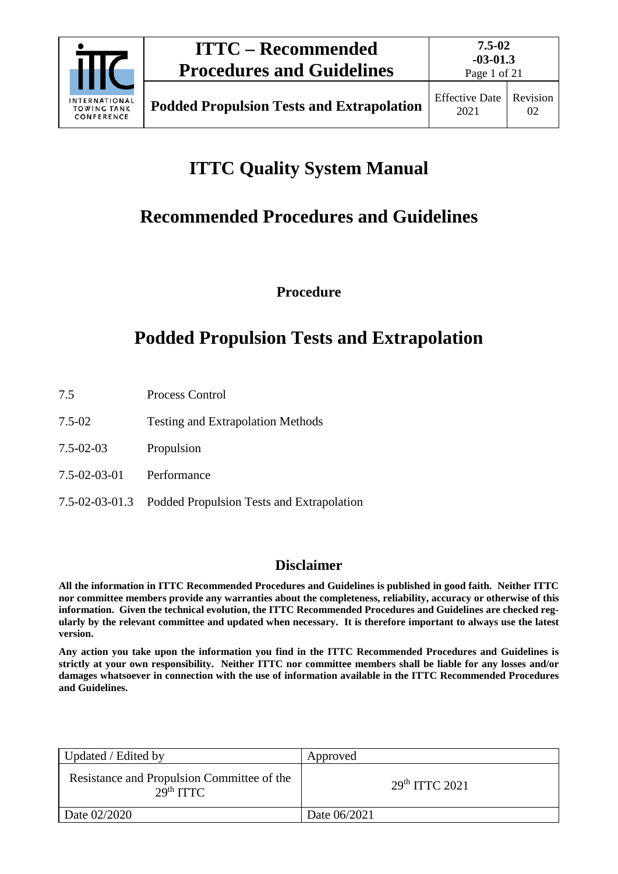

# **ITTC Quality System Manual**

# **Recommended Procedures and Guidelines**

**Procedure**

# **Podded Propulsion Tests and Extrapolation**

- 7.5 Process Control
- 7.5-02 Testing and Extrapolation Methods
- 7.5-02-03 Propulsion
- 7.5-02-03-01 Performance
- 7.5-02-03-01.3 Podded Propulsion Tests and Extrapolation

## **Disclaimer**

**All the information in ITTC Recommended Procedures and Guidelines is published in good faith. Neither ITTC nor committee members provide any warranties about the completeness, reliability, accuracy or otherwise of this information. Given the technical evolution, the ITTC Recommended Procedures and Guidelines are checked regularly by the relevant committee and updated when necessary. It is therefore important to always use the latest version.**

**Any action you take upon the information you find in the ITTC Recommended Procedures and Guidelines is strictly at your own responsibility. Neither ITTC nor committee members shall be liable for any losses and/or damages whatsoever in connection with the use of information available in the ITTC Recommended Procedures and Guidelines.**

| Updated / Edited by                                                 | Approved                   |
|---------------------------------------------------------------------|----------------------------|
| Resistance and Propulsion Committee of the<br>29 <sup>th</sup> TTTC | 29 <sup>th</sup> TTTC 2021 |
| Date 02/2020                                                        | Date 06/2021               |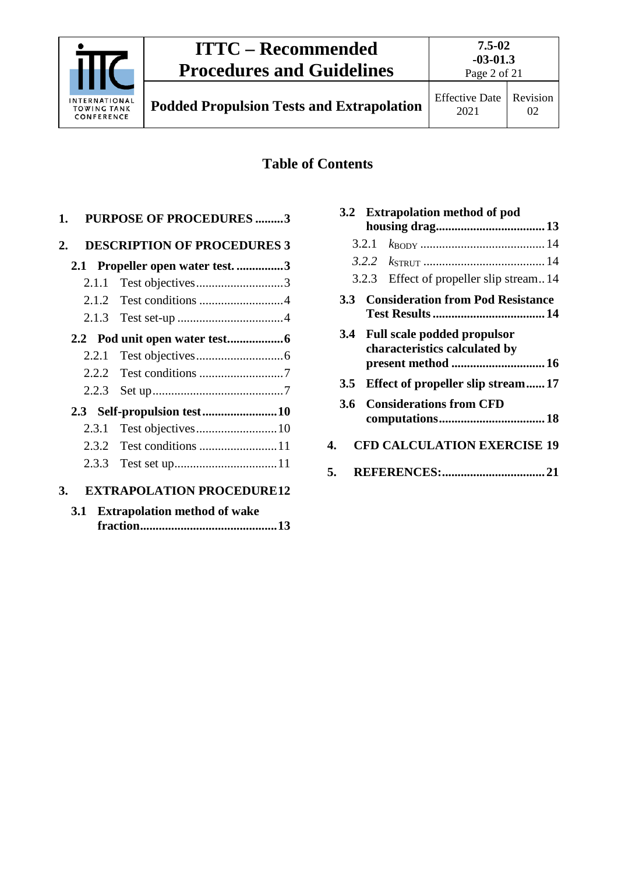

# **ITTC – Recommended Procedures and Guidelines**

Page 2 of 21

**Podded Propulsion Tests and Extrapolation** Effective Date

# **Table of Contents**

|    |       | 1. PURPOSE OF PROCEDURES 3         |
|----|-------|------------------------------------|
| 2. |       | <b>DESCRIPTION OF PROCEDURES 3</b> |
|    |       | 2.1 Propeller open water test. 3   |
|    | 2.1.1 | Test objectives3                   |
|    |       |                                    |
|    |       |                                    |
|    |       |                                    |
|    | 2.2.1 |                                    |
|    | 2.2.2 |                                    |
|    | 2.2.3 |                                    |
|    |       |                                    |
|    | 2.3.1 |                                    |
|    |       |                                    |
|    | 2.3.3 |                                    |
| 3. |       | <b>EXTRAPOLATION PROCEDURE12</b>   |
|    |       | 3.1 Extrapolation method of wake   |

|            |       | 3.2 Extrapolation method of pod                                                        |  |
|------------|-------|----------------------------------------------------------------------------------------|--|
|            |       |                                                                                        |  |
|            | 3.2.1 |                                                                                        |  |
|            |       |                                                                                        |  |
|            |       | 3.2.3 Effect of propeller slip stream14                                                |  |
| <b>3.3</b> |       | <b>Consideration from Pod Resistance</b>                                               |  |
|            |       | 3.4 Full scale podded propulsor<br>characteristics calculated by<br>present method  16 |  |
|            |       | 3.5 Effect of propeller slip stream17                                                  |  |
| 3.6        |       | <b>Considerations from CFD</b>                                                         |  |
| 4.         |       | <b>CFD CALCULATION EXERCISE 19</b>                                                     |  |
| 5.         |       |                                                                                        |  |
|            |       |                                                                                        |  |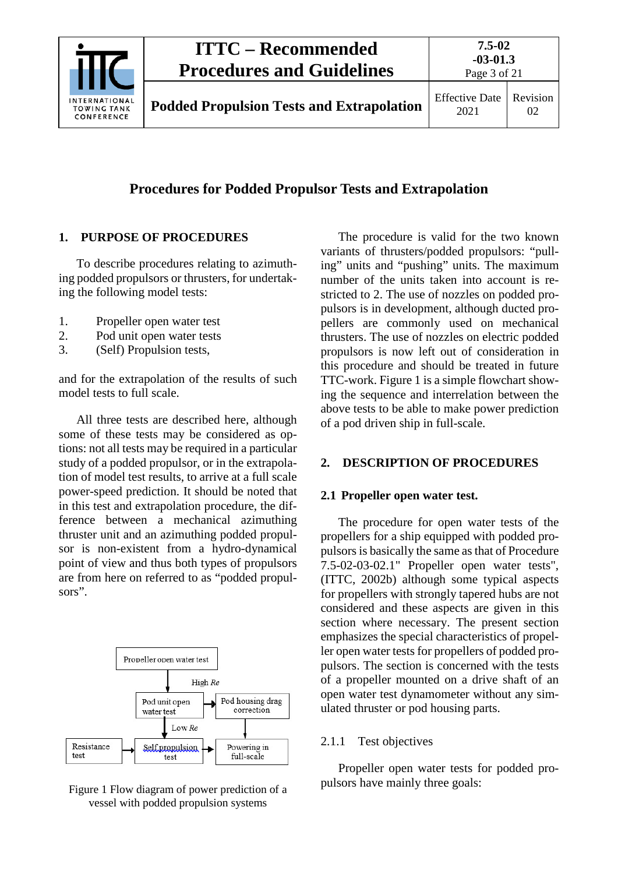

# **ITTC – Recommended Procedures and Guidelines**

**7.5-02**

# **Procedures for Podded Propulsor Tests and Extrapolation**

### <span id="page-2-0"></span>**1. PURPOSE OF PROCEDURES**

To describe procedures relating to azimuthing podded propulsors or thrusters, for undertaking the following model tests:

- 1. Propeller open water test
- 2. Pod unit open water tests
- 3. (Self) Propulsion tests,

and for the extrapolation of the results of such model tests to full scale.

All three tests are described here, although some of these tests may be considered as options: not all tests may be required in a particular study of a podded propulsor, or in the extrapolation of model test results, to arrive at a full scale power-speed prediction. It should be noted that in this test and extrapolation procedure, the difference between a mechanical azimuthing thruster unit and an azimuthing podded propulsor is non-existent from a hydro-dynamical point of view and thus both types of propulsors are from here on referred to as "podded propulsors".



Figure 1 Flow diagram of power prediction of a vessel with podded propulsion systems

The procedure is valid for the two known variants of thrusters/podded propulsors: "pulling" units and "pushing" units. The maximum number of the units taken into account is restricted to 2. The use of nozzles on podded propulsors is in development, although ducted propellers are commonly used on mechanical thrusters. The use of nozzles on electric podded propulsors is now left out of consideration in this procedure and should be treated in future TTC-work. Figure 1 is a simple flowchart showing the sequence and interrelation between the above tests to be able to make power prediction of a pod driven ship in full-scale.

### <span id="page-2-2"></span><span id="page-2-1"></span>**2. DESCRIPTION OF PROCEDURES**

#### **2.1 Propeller open water test.**

The procedure for open water tests of the propellers for a ship equipped with podded propulsors is basically the same as that of Procedure 7.5-02-03-02.1" Propeller open water tests", (ITTC, 2002b) although some typical aspects for propellers with strongly tapered hubs are not considered and these aspects are given in this section where necessary. The present section emphasizes the special characteristics of propeller open water tests for propellers of podded propulsors. The section is concerned with the tests of a propeller mounted on a drive shaft of an open water test dynamometer without any simulated thruster or pod housing parts.

### <span id="page-2-3"></span>2.1.1 Test objectives

Propeller open water tests for podded propulsors have mainly three goals: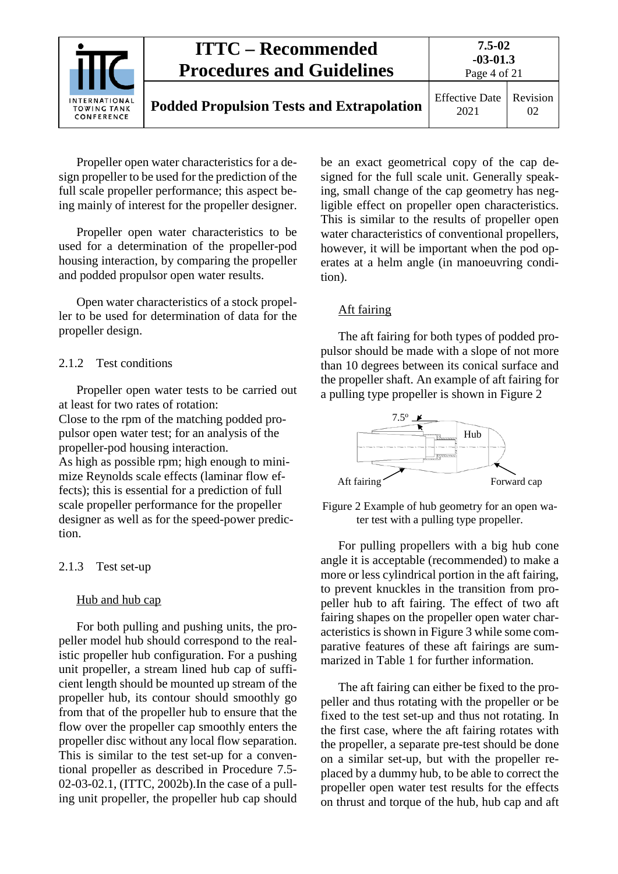| <b>INTERNATIONAL</b><br><b>TOWING TANK</b><br>CONFERENCE | <b>ITTC – Recommended</b><br><b>Procedures and Guidelines</b> | $7.5 - 02$<br>$-03-01.3$<br>Page 4 of 21 |                |
|----------------------------------------------------------|---------------------------------------------------------------|------------------------------------------|----------------|
|                                                          | <b>Podded Propulsion Tests and Extrapolation</b>              | <b>Effective Date</b><br>2021            | Revision<br>02 |

Propeller open water characteristics for a design propeller to be used for the prediction of the full scale propeller performance; this aspect being mainly of interest for the propeller designer.

Propeller open water characteristics to be used for a determination of the propeller-pod housing interaction, by comparing the propeller and podded propulsor open water results.

Open water characteristics of a stock propeller to be used for determination of data for the propeller design.

#### <span id="page-3-0"></span>2.1.2 Test conditions

Propeller open water tests to be carried out at least for two rates of rotation:

Close to the rpm of the matching podded propulsor open water test; for an analysis of the propeller-pod housing interaction.

As high as possible rpm; high enough to minimize Reynolds scale effects (laminar flow effects); this is essential for a prediction of full scale propeller performance for the propeller designer as well as for the speed-power prediction.

#### <span id="page-3-1"></span>2.1.3 Test set-up

#### Hub and hub cap

For both pulling and pushing units, the propeller model hub should correspond to the realistic propeller hub configuration. For a pushing unit propeller, a stream lined hub cap of sufficient length should be mounted up stream of the propeller hub, its contour should smoothly go from that of the propeller hub to ensure that the flow over the propeller cap smoothly enters the propeller disc without any local flow separation. This is similar to the test set-up for a conventional propeller as described in Procedure 7.5- 02-03-02.1, (ITTC, 2002b).In the case of a pulling unit propeller, the propeller hub cap should

be an exact geometrical copy of the cap designed for the full scale unit. Generally speaking, small change of the cap geometry has negligible effect on propeller open characteristics. This is similar to the results of propeller open water characteristics of conventional propellers, however, it will be important when the pod operates at a helm angle (in manoeuvring condition).

#### Aft fairing

The aft fairing for both types of podded propulsor should be made with a slope of not more than 10 degrees between its conical surface and the propeller shaft. An example of aft fairing for a pulling type propeller is shown in Figure 2



Figure 2 Example of hub geometry for an open water test with a pulling type propeller.

For pulling propellers with a big hub cone angle it is acceptable (recommended) to make a more or less cylindrical portion in the aft fairing, to prevent knuckles in the transition from propeller hub to aft fairing. The effect of two aft fairing shapes on the propeller open water characteristics is shown in Figure 3 while some comparative features of these aft fairings are summarized in Table 1 for further information.

The aft fairing can either be fixed to the propeller and thus rotating with the propeller or be fixed to the test set-up and thus not rotating. In the first case, where the aft fairing rotates with the propeller, a separate pre-test should be done on a similar set-up, but with the propeller replaced by a dummy hub, to be able to correct the propeller open water test results for the effects on thrust and torque of the hub, hub cap and aft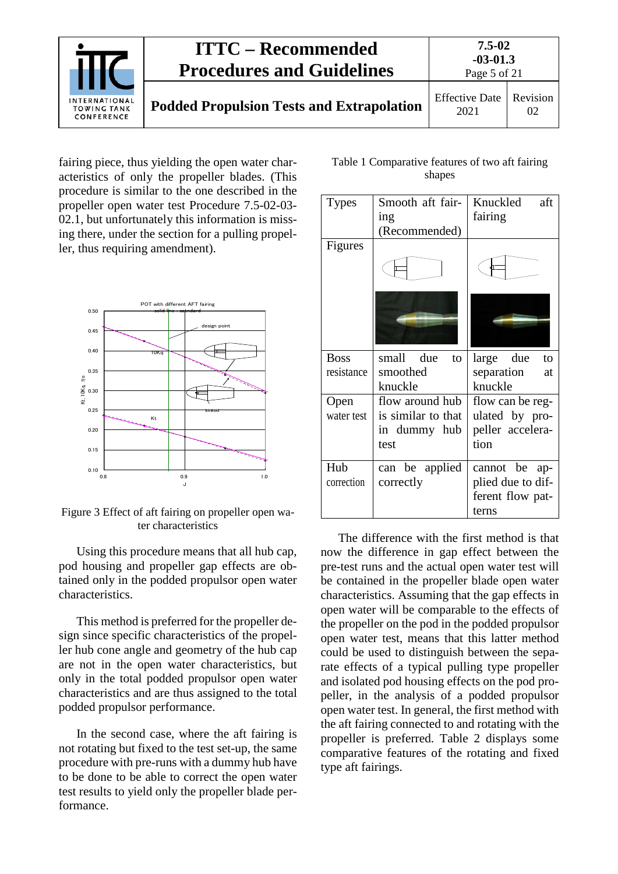

fairing piece, thus yielding the open water characteristics of only the propeller blades. (This procedure is similar to the one described in the propeller open water test Procedure 7.5-02-03- 02.1, but unfortunately this information is missing there, under the section for a pulling propeller, thus requiring amendment).



Figure 3 Effect of aft fairing on propeller open water characteristics

Using this procedure means that all hub cap, pod housing and propeller gap effects are obtained only in the podded propulsor open water characteristics.

This method is preferred for the propeller design since specific characteristics of the propeller hub cone angle and geometry of the hub cap are not in the open water characteristics, but only in the total podded propulsor open water characteristics and are thus assigned to the total podded propulsor performance.

In the second case, where the aft fairing is not rotating but fixed to the test set-up, the same procedure with pre-runs with a dummy hub have to be done to be able to correct the open water test results to yield only the propeller blade performance.

Table 1 Comparative features of two aft fairing shapes

| Types       | Smooth aft fair-<br>ing<br>(Recommended) | Knuckled<br>aft<br>fairing |
|-------------|------------------------------------------|----------------------------|
| Figures     |                                          |                            |
|             |                                          |                            |
| <b>Boss</b> | small due<br>to                          | large due<br>to            |
| resistance  | smoothed                                 | separation<br>at           |
|             | knuckle                                  | knuckle                    |
| Open        | flow around hub                          | flow can be reg-           |
| water test  | is similar to that                       | ulated by pro-             |
|             | in dummy hub                             | peller accelera-           |
|             | test                                     | tion                       |
| Hub         | can be applied                           | cannot be ap-              |
| correction  | correctly                                | plied due to dif-          |
|             |                                          | ferent flow pat-           |
|             |                                          | terns                      |

The difference with the first method is that now the difference in gap effect between the pre-test runs and the actual open water test will be contained in the propeller blade open water characteristics. Assuming that the gap effects in open water will be comparable to the effects of the propeller on the pod in the podded propulsor open water test, means that this latter method could be used to distinguish between the separate effects of a typical pulling type propeller and isolated pod housing effects on the pod propeller, in the analysis of a podded propulsor open water test. In general, the first method with the aft fairing connected to and rotating with the propeller is preferred. Table 2 displays some comparative features of the rotating and fixed type aft fairings.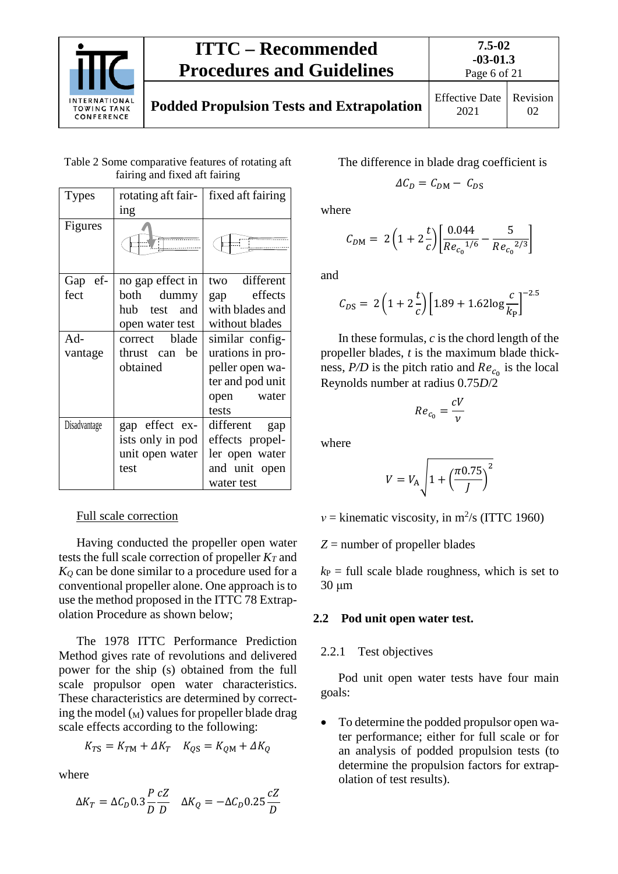

# **ITTC – Recommended Procedures and Guidelines**

| Table 2 Some comparative features of rotating aft |  |
|---------------------------------------------------|--|
| fairing and fixed aft fairing                     |  |

| Types        | rotating aft fair- | fixed aft fairing |  |  |
|--------------|--------------------|-------------------|--|--|
|              | ing                |                   |  |  |
| Figures      |                    |                   |  |  |
| Gap ef-      | no gap effect in   | two different     |  |  |
| fect         | dummy<br>both      | effects<br>gap    |  |  |
|              | hub<br>test and    | with blades and   |  |  |
|              | open water test    | without blades    |  |  |
| Ad-          | blade<br>correct   | similar config-   |  |  |
| vantage      | thrust can be      | urations in pro-  |  |  |
|              | obtained           | peller open wa-   |  |  |
|              |                    | ter and pod unit  |  |  |
|              |                    | open water        |  |  |
|              |                    | tests             |  |  |
| Disadvantage | gap effect ex-     | different<br>gap  |  |  |
|              | ists only in pod   | effects propel-   |  |  |
|              | unit open water    | ler open water    |  |  |
|              | test               | and unit open     |  |  |
|              |                    | water test        |  |  |

## Full scale correction

Having conducted the propeller open water tests the full scale correction of propeller  $K_T$  and *KQ* can be done similar to a procedure used for a conventional propeller alone. One approach is to use the method proposed in the ITTC 78 Extrapolation Procedure as shown below;

The 1978 ITTC Performance Prediction Method gives rate of revolutions and delivered power for the ship (s) obtained from the full scale propulsor open water characteristics. These characteristics are determined by correcting the model  $(M)$  values for propeller blade drag scale effects according to the following:

$$
K_{TS} = K_{TM} + \Delta K_T \quad K_{QS} = K_{QM} + \Delta K_Q
$$

where

$$
\Delta K_T = \Delta C_D 0.3 \frac{P}{D} \frac{cZ}{D} \quad \Delta K_Q = -\Delta C_D 0.25 \frac{cZ}{D}
$$

The difference in blade drag coefficient is

$$
\Delta C_D = C_{DM} - C_{DS}
$$

where

$$
C_{DM} = 2\left(1 + 2\frac{t}{c}\right) \left[\frac{0.044}{Re_{c_0}^{1/6}} - \frac{5}{Re_{c_0}^{2/3}}\right]
$$

and

$$
C_{DS} = 2\left(1 + 2\frac{t}{c}\right)\left[1.89 + 1.62\log\frac{c}{k_{\rm P}}\right]^{-2.5}
$$

In these formulas,  $c$  is the chord length of the propeller blades, *t* is the maximum blade thickness,  $P/D$  is the pitch ratio and  $Re<sub>c</sub>$  is the local Reynolds number at radius 0.75*D*/2

$$
Re_{c_0} = \frac{cV}{v}
$$

where

$$
V = V_{\rm A} \sqrt{1 + \left(\frac{\pi 0.75}{J}\right)^2}
$$

 $v =$  kinematic viscosity, in m<sup>2</sup>/s (ITTC 1960)

*Z* = number of propeller blades

 $k_P$  = full scale blade roughness, which is set to 30 μm

### <span id="page-5-1"></span><span id="page-5-0"></span>**2.2 Pod unit open water test.**

2.2.1 Test objectives

Pod unit open water tests have four main goals:

• To determine the podded propulsor open water performance; either for full scale or for an analysis of podded propulsion tests (to determine the propulsion factors for extrapolation of test results).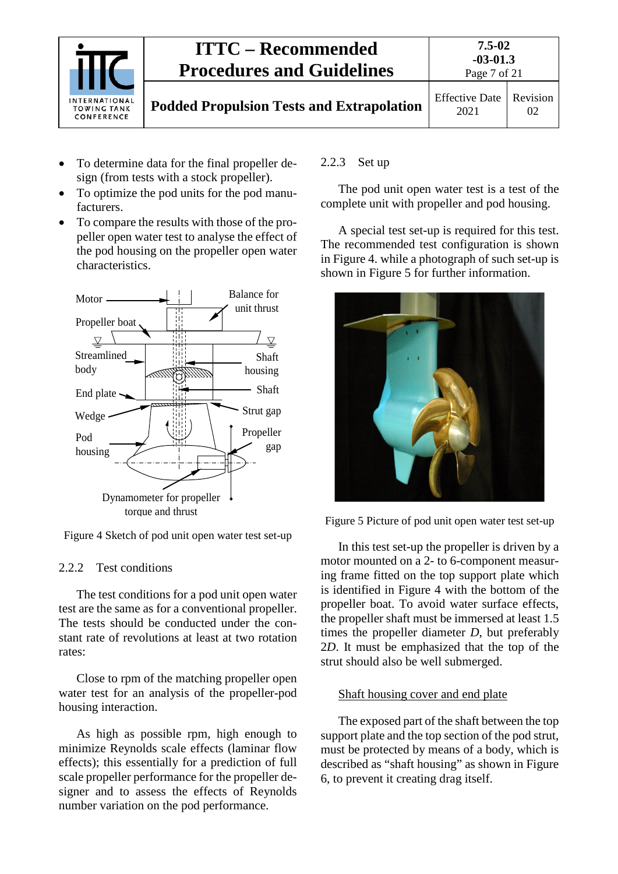

- To determine data for the final propeller design (from tests with a stock propeller).
- To optimize the pod units for the pod manufacturers.
- To compare the results with those of the propeller open water test to analyse the effect of the pod housing on the propeller open water characteristics.



Figure 4 Sketch of pod unit open water test set-up

#### <span id="page-6-0"></span>2.2.2 Test conditions

The test conditions for a pod unit open water test are the same as for a conventional propeller. The tests should be conducted under the constant rate of revolutions at least at two rotation rates:

Close to rpm of the matching propeller open water test for an analysis of the propeller-pod housing interaction.

As high as possible rpm, high enough to minimize Reynolds scale effects (laminar flow effects); this essentially for a prediction of full scale propeller performance for the propeller designer and to assess the effects of Reynolds number variation on the pod performance.

#### <span id="page-6-1"></span>2.2.3 Set up

The pod unit open water test is a test of the complete unit with propeller and pod housing.

A special test set-up is required for this test. The recommended test configuration is shown in Figure 4. while a photograph of such set-up is shown in Figure 5 for further information.



Figure 5 Picture of pod unit open water test set-up

In this test set-up the propeller is driven by a motor mounted on a 2- to 6-component measuring frame fitted on the top support plate which is identified in Figure 4 with the bottom of the propeller boat. To avoid water surface effects, the propeller shaft must be immersed at least 1.5 times the propeller diameter *D*, but preferably 2*D*. It must be emphasized that the top of the strut should also be well submerged.

#### Shaft housing cover and end plate

The exposed part of the shaft between the top support plate and the top section of the pod strut, must be protected by means of a body, which is described as "shaft housing" as shown in Figure 6, to prevent it creating drag itself.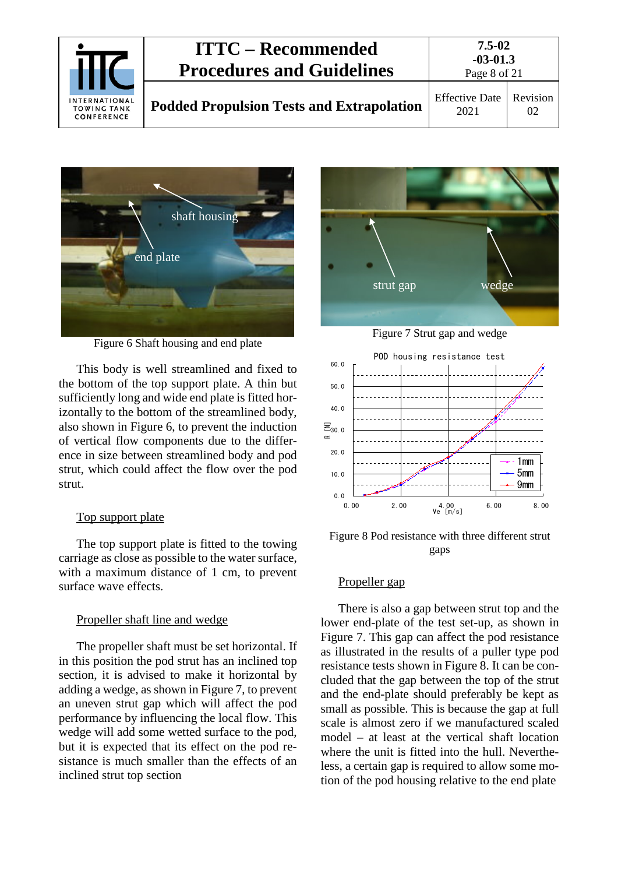| <b>INTERNATIONAL</b><br><b>TOWING TANK</b><br>CONFERENCE | <b>ITTC – Recommended</b><br><b>Procedures and Guidelines</b> | $7.5 - 02$<br>$-03-01.3$<br>Page 8 of 21 |                |
|----------------------------------------------------------|---------------------------------------------------------------|------------------------------------------|----------------|
|                                                          | <b>Podded Propulsion Tests and Extrapolation</b>              | <b>Effective Date</b><br>2021            | Revision<br>02 |



Figure 6 Shaft housing and end plate

This body is well streamlined and fixed to the bottom of the top support plate. A thin but sufficiently long and wide end plate is fitted horizontally to the bottom of the streamlined body, also shown in Figure 6, to prevent the induction of vertical flow components due to the difference in size between streamlined body and pod strut, which could affect the flow over the pod strut.

#### Top support plate

The top support plate is fitted to the towing carriage as close as possible to the water surface, with a maximum distance of 1 cm, to prevent surface wave effects.

#### Propeller shaft line and wedge

The propeller shaft must be set horizontal. If in this position the pod strut has an inclined top section, it is advised to make it horizontal by adding a wedge, as shown in Figure 7, to prevent an uneven strut gap which will affect the pod performance by influencing the local flow. This wedge will add some wetted surface to the pod, but it is expected that its effect on the pod resistance is much smaller than the effects of an inclined strut top section



Figure 7 Strut gap and wedge



Figure 8 Pod resistance with three different strut gaps

#### Propeller gap

There is also a gap between strut top and the lower end-plate of the test set-up, as shown in Figure 7. This gap can affect the pod resistance as illustrated in the results of a puller type pod resistance tests shown in Figure 8. It can be concluded that the gap between the top of the strut and the end-plate should preferably be kept as small as possible. This is because the gap at full scale is almost zero if we manufactured scaled model – at least at the vertical shaft location where the unit is fitted into the hull. Nevertheless, a certain gap is required to allow some motion of the pod housing relative to the end plate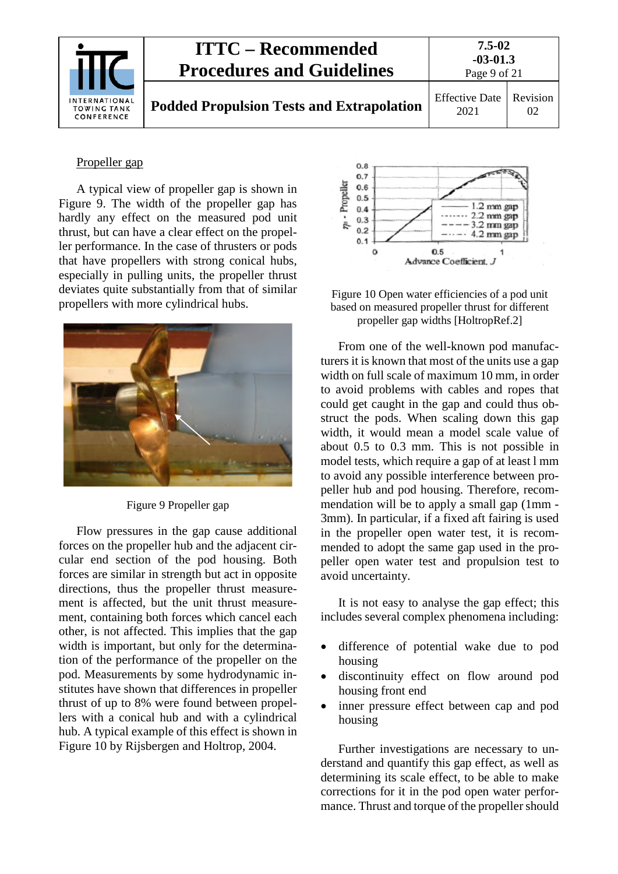

#### Propeller gap

A typical view of propeller gap is shown in Figure 9. The width of the propeller gap has hardly any effect on the measured pod unit thrust, but can have a clear effect on the propeller performance. In the case of thrusters or pods that have propellers with strong conical hubs, especially in pulling units, the propeller thrust deviates quite substantially from that of similar propellers with more cylindrical hubs.



Figure 9 Propeller gap

Flow pressures in the gap cause additional forces on the propeller hub and the adjacent circular end section of the pod housing. Both forces are similar in strength but act in opposite directions, thus the propeller thrust measurement is affected, but the unit thrust measurement, containing both forces which cancel each other, is not affected. This implies that the gap width is important, but only for the determination of the performance of the propeller on the pod. Measurements by some hydrodynamic institutes have shown that differences in propeller thrust of up to 8% were found between propellers with a conical hub and with a cylindrical hub. A typical example of this effect is shown in Figure 10 by Rijsbergen and Holtrop, 2004.





From one of the well-known pod manufacturers it is known that most of the units use a gap width on full scale of maximum 10 mm, in order to avoid problems with cables and ropes that could get caught in the gap and could thus obstruct the pods. When scaling down this gap width, it would mean a model scale value of about 0.5 to 0.3 mm. This is not possible in model tests, which require a gap of at least l mm to avoid any possible interference between propeller hub and pod housing. Therefore, recommendation will be to apply a small gap (1mm - 3mm). In particular, if a fixed aft fairing is used in the propeller open water test, it is recommended to adopt the same gap used in the propeller open water test and propulsion test to avoid uncertainty.

It is not easy to analyse the gap effect; this includes several complex phenomena including:

- difference of potential wake due to pod housing
- discontinuity effect on flow around pod housing front end
- inner pressure effect between cap and pod housing

Further investigations are necessary to understand and quantify this gap effect, as well as determining its scale effect, to be able to make corrections for it in the pod open water performance. Thrust and torque of the propeller should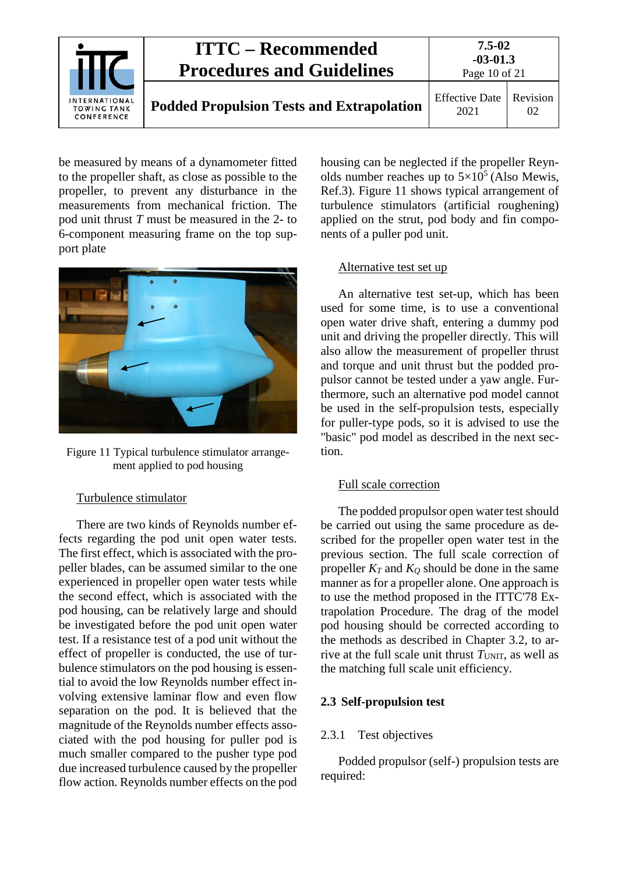

be measured by means of a dynamometer fitted to the propeller shaft, as close as possible to the propeller, to prevent any disturbance in the measurements from mechanical friction. The pod unit thrust *T* must be measured in the 2- to 6-component measuring frame on the top support plate



Figure 11 Typical turbulence stimulator arrangement applied to pod housing

#### Turbulence stimulator

There are two kinds of Reynolds number effects regarding the pod unit open water tests. The first effect, which is associated with the propeller blades, can be assumed similar to the one experienced in propeller open water tests while the second effect, which is associated with the pod housing, can be relatively large and should be investigated before the pod unit open water test. If a resistance test of a pod unit without the effect of propeller is conducted, the use of turbulence stimulators on the pod housing is essential to avoid the low Reynolds number effect involving extensive laminar flow and even flow separation on the pod. It is believed that the magnitude of the Reynolds number effects associated with the pod housing for puller pod is much smaller compared to the pusher type pod due increased turbulence caused by the propeller flow action. Reynolds number effects on the pod housing can be neglected if the propeller Reynolds number reaches up to  $5\times10^5$  (Also Mewis, Ref.3). Figure 11 shows typical arrangement of turbulence stimulators (artificial roughening) applied on the strut, pod body and fin components of a puller pod unit.

#### Alternative test set up

An alternative test set-up, which has been used for some time, is to use a conventional open water drive shaft, entering a dummy pod unit and driving the propeller directly. This will also allow the measurement of propeller thrust and torque and unit thrust but the podded propulsor cannot be tested under a yaw angle. Furthermore, such an alternative pod model cannot be used in the self-propulsion tests, especially for puller-type pods, so it is advised to use the "basic" pod model as described in the next section.

#### Full scale correction

The podded propulsor open water test should be carried out using the same procedure as described for the propeller open water test in the previous section. The full scale correction of propeller  $K_T$  and  $K_Q$  should be done in the same manner as for a propeller alone. One approach is to use the method proposed in the ITTC'78 Extrapolation Procedure. The drag of the model pod housing should be corrected according to the methods as described in Chapter 3.2, to arrive at the full scale unit thrust  $T<sub>UNIT</sub>$ , as well as the matching full scale unit efficiency.

#### <span id="page-9-1"></span><span id="page-9-0"></span>**2.3 Self-propulsion test**

#### 2.3.1 Test objectives

Podded propulsor (self-) propulsion tests are required: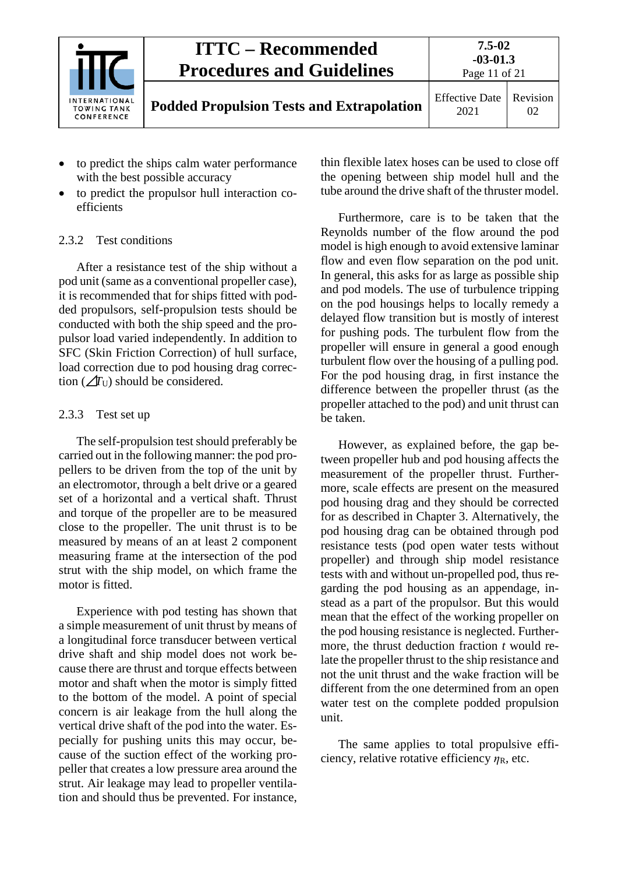|                                                          | <b>ITTC – Recommended</b><br><b>Procedures and Guidelines</b> | $7.5 - 02$<br>$-03-01.3$<br>Page 11 of 21 |                |
|----------------------------------------------------------|---------------------------------------------------------------|-------------------------------------------|----------------|
| <b>INTERNATIONAL</b><br><b>TOWING TANK</b><br>CONFERENCE | <b>Podded Propulsion Tests and Extrapolation</b>              | <b>Effective Date</b><br>2021             | Revision<br>02 |

- to predict the ships calm water performance with the best possible accuracy
- to predict the propulsor hull interaction coefficients

### <span id="page-10-0"></span>2.3.2 Test conditions

After a resistance test of the ship without a pod unit (same as a conventional propeller case), it is recommended that for ships fitted with podded propulsors, self-propulsion tests should be conducted with both the ship speed and the propulsor load varied independently. In addition to SFC (Skin Friction Correction) of hull surface, load correction due to pod housing drag correction  $\mathcal{L}$ <sup>T</sup><sup>U</sup>) should be considered.

#### <span id="page-10-1"></span>2.3.3 Test set up

The self-propulsion test should preferably be carried out in the following manner: the pod propellers to be driven from the top of the unit by an electromotor, through a belt drive or a geared set of a horizontal and a vertical shaft. Thrust and torque of the propeller are to be measured close to the propeller. The unit thrust is to be measured by means of an at least 2 component measuring frame at the intersection of the pod strut with the ship model, on which frame the motor is fitted.

Experience with pod testing has shown that a simple measurement of unit thrust by means of a longitudinal force transducer between vertical drive shaft and ship model does not work because there are thrust and torque effects between motor and shaft when the motor is simply fitted to the bottom of the model. A point of special concern is air leakage from the hull along the vertical drive shaft of the pod into the water. Especially for pushing units this may occur, because of the suction effect of the working propeller that creates a low pressure area around the strut. Air leakage may lead to propeller ventilation and should thus be prevented. For instance, thin flexible latex hoses can be used to close off the opening between ship model hull and the tube around the drive shaft of the thruster model.

Furthermore, care is to be taken that the Reynolds number of the flow around the pod model is high enough to avoid extensive laminar flow and even flow separation on the pod unit. In general, this asks for as large as possible ship and pod models. The use of turbulence tripping on the pod housings helps to locally remedy a delayed flow transition but is mostly of interest for pushing pods. The turbulent flow from the propeller will ensure in general a good enough turbulent flow over the housing of a pulling pod. For the pod housing drag, in first instance the difference between the propeller thrust (as the propeller attached to the pod) and unit thrust can be taken.

However, as explained before, the gap between propeller hub and pod housing affects the measurement of the propeller thrust. Furthermore, scale effects are present on the measured pod housing drag and they should be corrected for as described in Chapter 3. Alternatively, the pod housing drag can be obtained through pod resistance tests (pod open water tests without propeller) and through ship model resistance tests with and without un-propelled pod, thus regarding the pod housing as an appendage, instead as a part of the propulsor. But this would mean that the effect of the working propeller on the pod housing resistance is neglected. Furthermore, the thrust deduction fraction *t* would relate the propeller thrust to the ship resistance and not the unit thrust and the wake fraction will be different from the one determined from an open water test on the complete podded propulsion unit.

The same applies to total propulsive efficiency, relative rotative efficiency *η*<sub>R</sub>, etc.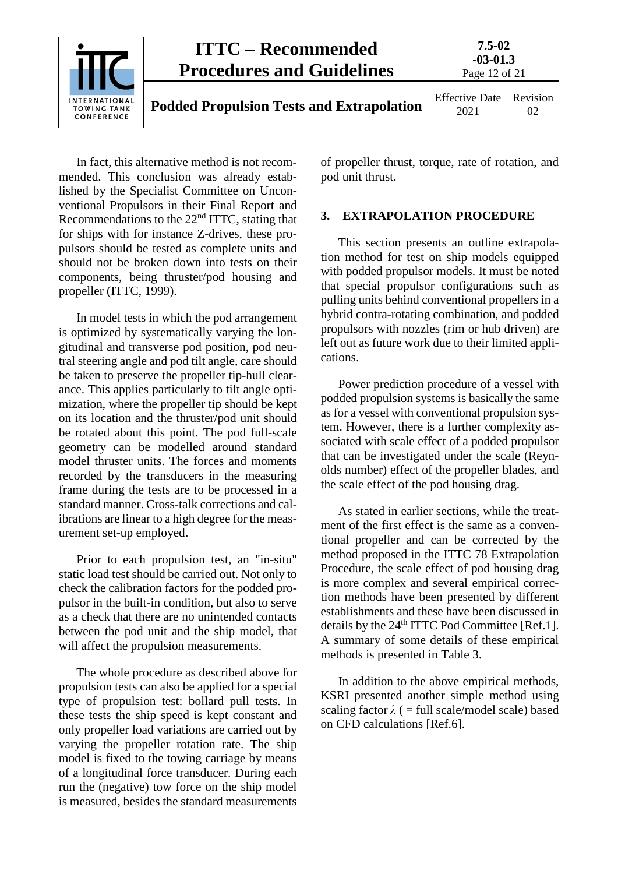

In fact, this alternative method is not recommended. This conclusion was already established by the Specialist Committee on Unconventional Propulsors in their Final Report and Recommendations to the 22nd ITTC, stating that for ships with for instance Z-drives, these propulsors should be tested as complete units and should not be broken down into tests on their components, being thruster/pod housing and propeller (ITTC, 1999).

In model tests in which the pod arrangement is optimized by systematically varying the longitudinal and transverse pod position, pod neutral steering angle and pod tilt angle, care should be taken to preserve the propeller tip-hull clearance. This applies particularly to tilt angle optimization, where the propeller tip should be kept on its location and the thruster/pod unit should be rotated about this point. The pod full-scale geometry can be modelled around standard model thruster units. The forces and moments recorded by the transducers in the measuring frame during the tests are to be processed in a standard manner. Cross-talk corrections and calibrations are linear to a high degree for the measurement set-up employed.

Prior to each propulsion test, an "in-situ" static load test should be carried out. Not only to check the calibration factors for the podded propulsor in the built-in condition, but also to serve as a check that there are no unintended contacts between the pod unit and the ship model, that will affect the propulsion measurements.

The whole procedure as described above for propulsion tests can also be applied for a special type of propulsion test: bollard pull tests. In these tests the ship speed is kept constant and only propeller load variations are carried out by varying the propeller rotation rate. The ship model is fixed to the towing carriage by means of a longitudinal force transducer. During each run the (negative) tow force on the ship model is measured, besides the standard measurements

<span id="page-11-0"></span>of propeller thrust, torque, rate of rotation, and pod unit thrust.

#### **3. EXTRAPOLATION PROCEDURE**

This section presents an outline extrapolation method for test on ship models equipped with podded propulsor models. It must be noted that special propulsor configurations such as pulling units behind conventional propellers in a hybrid contra-rotating combination, and podded propulsors with nozzles (rim or hub driven) are left out as future work due to their limited applications.

Power prediction procedure of a vessel with podded propulsion systems is basically the same as for a vessel with conventional propulsion system. However, there is a further complexity associated with scale effect of a podded propulsor that can be investigated under the scale (Reynolds number) effect of the propeller blades, and the scale effect of the pod housing drag.

As stated in earlier sections, while the treatment of the first effect is the same as a conventional propeller and can be corrected by the method proposed in the ITTC 78 Extrapolation Procedure, the scale effect of pod housing drag is more complex and several empirical correction methods have been presented by different establishments and these have been discussed in details by the  $24<sup>th</sup> ITTC$  Pod Committee [Ref.1]. A summary of some details of these empirical methods is presented in Table 3.

In addition to the above empirical methods, KSRI presented another simple method using scaling factor  $\lambda$  ( = full scale/model scale) based on CFD calculations [Ref.6].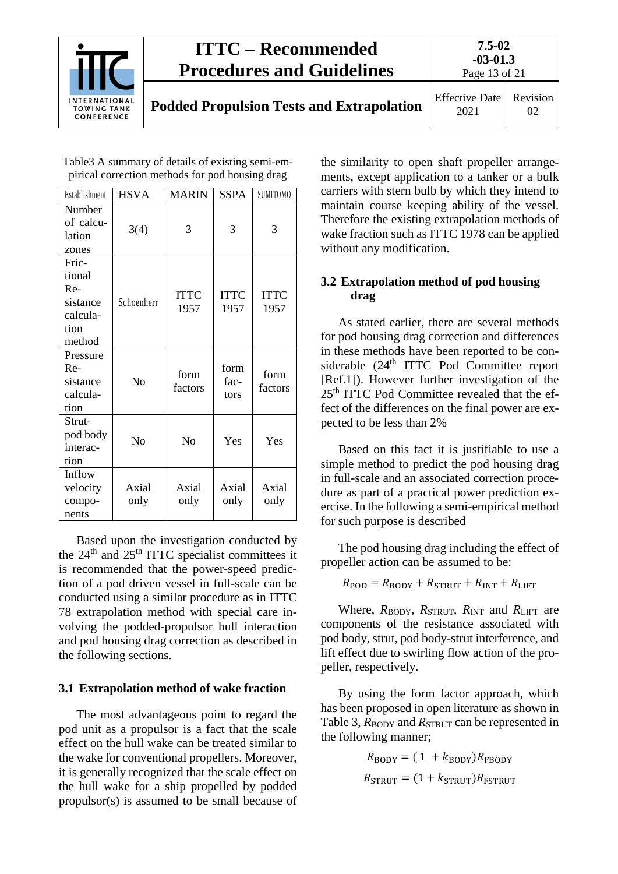

Table3 A summary of details of existing semi-empirical correction methods for pod housing drag

| Establishment                                                    | <b>HSVA</b>   | <b>MARIN</b>        | <b>SSPA</b>          | SUMITOMO            |
|------------------------------------------------------------------|---------------|---------------------|----------------------|---------------------|
| Number<br>of calcu-<br>lation<br>zones                           | 3(4)          | 3                   | 3                    | 3                   |
| Fric-<br>tional<br>Re-<br>sistance<br>calcula-<br>tion<br>method | Schoenherr    | <b>ITTC</b><br>1957 | <b>ITTC</b><br>1957  | <b>ITTC</b><br>1957 |
| Pressure<br>$Re-$<br>sistance<br>calcula-<br>tion                | $\rm No$      | form<br>factors     | form<br>fac-<br>tors | form<br>factors     |
| Strut-<br>pod body<br>interac-<br>tion                           | $\rm No$      | N <sub>o</sub>      | Yes                  | Yes                 |
| Inflow<br>velocity<br>compo-<br>nents                            | Axial<br>only | Axial<br>only       | Axial<br>only        | Axial<br>only       |

Based upon the investigation conducted by the 24<sup>th</sup> and 25<sup>th</sup> ITTC specialist committees it is recommended that the power-speed prediction of a pod driven vessel in full-scale can be conducted using a similar procedure as in ITTC 78 extrapolation method with special care involving the podded-propulsor hull interaction and pod housing drag correction as described in the following sections.

## <span id="page-12-0"></span>**3.1 Extrapolation method of wake fraction**

The most advantageous point to regard the pod unit as a propulsor is a fact that the scale effect on the hull wake can be treated similar to the wake for conventional propellers. Moreover, it is generally recognized that the scale effect on the hull wake for a ship propelled by podded propulsor(s) is assumed to be small because of

the similarity to open shaft propeller arrangements, except application to a tanker or a bulk carriers with stern bulb by which they intend to maintain course keeping ability of the vessel. Therefore the existing extrapolation methods of wake fraction such as ITTC 1978 can be applied without any modification.

### <span id="page-12-1"></span>**3.2 Extrapolation method of pod housing drag**

As stated earlier, there are several methods for pod housing drag correction and differences in these methods have been reported to be considerable (24<sup>th</sup> ITTC Pod Committee report [Ref.1]). However further investigation of the 25th ITTC Pod Committee revealed that the effect of the differences on the final power are expected to be less than 2%

Based on this fact it is justifiable to use a simple method to predict the pod housing drag in full-scale and an associated correction procedure as part of a practical power prediction exercise. In the following a semi-empirical method for such purpose is described

The pod housing drag including the effect of propeller action can be assumed to be:

 $R_{\text{POD}} = R_{\text{BODY}} + R_{\text{STRUT}} + R_{\text{INT}} + R_{\text{LIFT}}$ 

Where,  $R_{\text{BODY}}$ ,  $R_{\text{STRUT}}$ ,  $R_{\text{INT}}$  and  $R_{\text{LIFT}}$  are components of the resistance associated with pod body, strut, pod body-strut interference, and lift effect due to swirling flow action of the propeller, respectively.

By using the form factor approach, which has been proposed in open literature as shown in Table 3,  $R_{\text{BODY}}$  and  $R_{\text{STRUT}}$  can be represented in the following manner;

$$
R_{\text{BODY}} = (1 + k_{\text{BODY}})R_{\text{FBODY}}
$$

$$
R_{\text{STRUT}} = (1 + k_{\text{STRUT}})R_{\text{FSTRUT}}
$$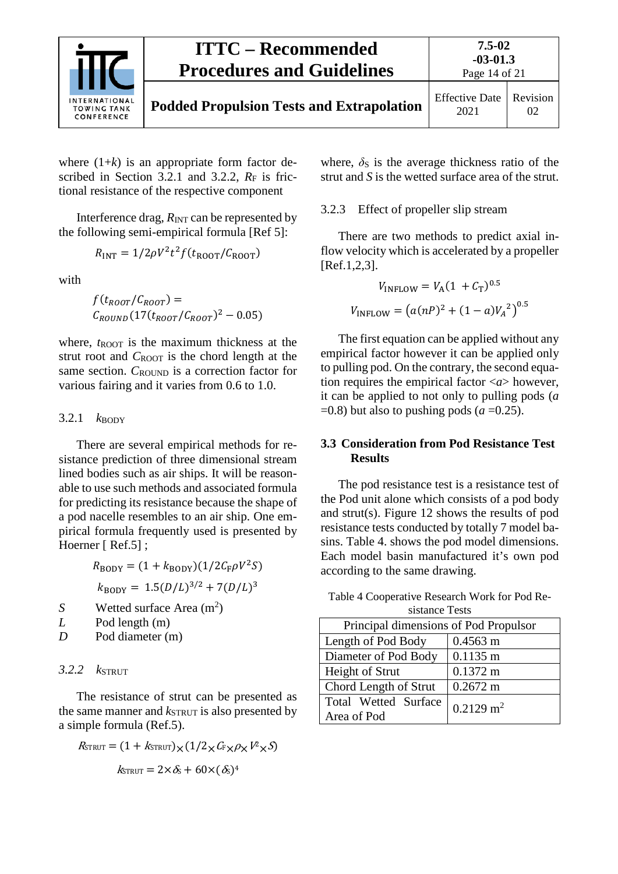

where  $(1+k)$  is an appropriate form factor described in Section 3.2.1 and 3.2.2,  $R_F$  is frictional resistance of the respective component

Interference drag,  $R_{\text{INT}}$  can be represented by the following semi-empirical formula [Ref 5]:

$$
R_{\text{INT}} = 1/2\rho V^2 t^2 f(t_{\text{ROOT}}/C_{\text{ROOT}})
$$

with

$$
f(t_{Root}/C_{Root}) =
$$
  

$$
C_{ROUND}(17(t_{Root}/C_{Root})^2 - 0.05)
$$

where,  $t_{\text{ROT}}$  is the maximum thickness at the strut root and *C*<sub>ROOT</sub> is the chord length at the same section. *C*<sub>ROUND</sub> is a correction factor for various fairing and it varies from 0.6 to 1.0.

#### <span id="page-13-0"></span>3.2.1  $k_{\text{BODY}}$

There are several empirical methods for resistance prediction of three dimensional stream lined bodies such as air ships. It will be reasonable to use such methods and associated formula for predicting its resistance because the shape of a pod nacelle resembles to an air ship. One empirical formula frequently used is presented by Hoerner [ Ref.5];

$$
R_{\text{BODY}} = (1 + k_{\text{BODY}})(1/2C_{\text{F}}\rho V^2 S)
$$
  

$$
k_{\text{BODY}} = 1.5(D/L)^{3/2} + 7(D/L)^3
$$

- *S* Wetted surface Area (m<sup>2</sup>)
- *L* Pod length (m)
- <span id="page-13-1"></span>*D* Pod diameter (m)

#### *3.2.2 k*STRUT

The resistance of strut can be presented as the same manner and  $k_{\text{STRUT}}$  is also presented by a simple formula (Ref.5).

$$
R_{\text{STRUT}} = (1 + k_{\text{STRUT}}) \times (1/2 \times C_{\text{F}} \times \rho \times V^2 \times S)
$$

$$
k_{\text{STRUT}} = 2 \times \delta_{\text{S}} + 60 \times (\delta_{\text{S}})^4
$$

where,  $\delta$ <sub>S</sub> is the average thickness ratio of the strut and *S* is the wetted surface area of the strut.

#### <span id="page-13-2"></span>3.2.3 Effect of propeller slip stream

There are two methods to predict axial inflow velocity which is accelerated by a propeller [Ref.1,2,3].

$$
V_{\text{INFLOW}} = V_{\text{A}} (1 + C_{\text{T}})^{0.5}
$$

$$
V_{\text{INFLOW}} = (a(nP)^{2} + (1 - a)V_{A}^{2})^{0.5}
$$

The first equation can be applied without any empirical factor however it can be applied only to pulling pod. On the contrary, the second equation requires the empirical factor <*a*> however, it can be applied to not only to pulling pods (*a*  $=0.8$ ) but also to pushing pods (*a*  $=0.25$ ).

#### <span id="page-13-3"></span>**3.3 Consideration from Pod Resistance Test Results**

The pod resistance test is a resistance test of the Pod unit alone which consists of a pod body and strut(s). Figure 12 shows the results of pod resistance tests conducted by totally 7 model basins. Table 4. shows the pod model dimensions. Each model basin manufactured it's own pod according to the same drawing.

| sistance Tests                        |                         |  |  |  |
|---------------------------------------|-------------------------|--|--|--|
| Principal dimensions of Pod Propulsor |                         |  |  |  |
| Length of Pod Body                    | $0.4563 \text{ m}$      |  |  |  |
| Diameter of Pod Body                  | $0.1135 \text{ m}$      |  |  |  |
| Height of Strut                       | $0.1372 \text{ m}$      |  |  |  |
| Chord Length of Strut                 | $0.2672 \text{ m}$      |  |  |  |
| Total Wetted Surface                  | $0.2129$ m <sup>2</sup> |  |  |  |
| Area of Pod                           |                         |  |  |  |

Table 4 Cooperative Research Work for Pod Re-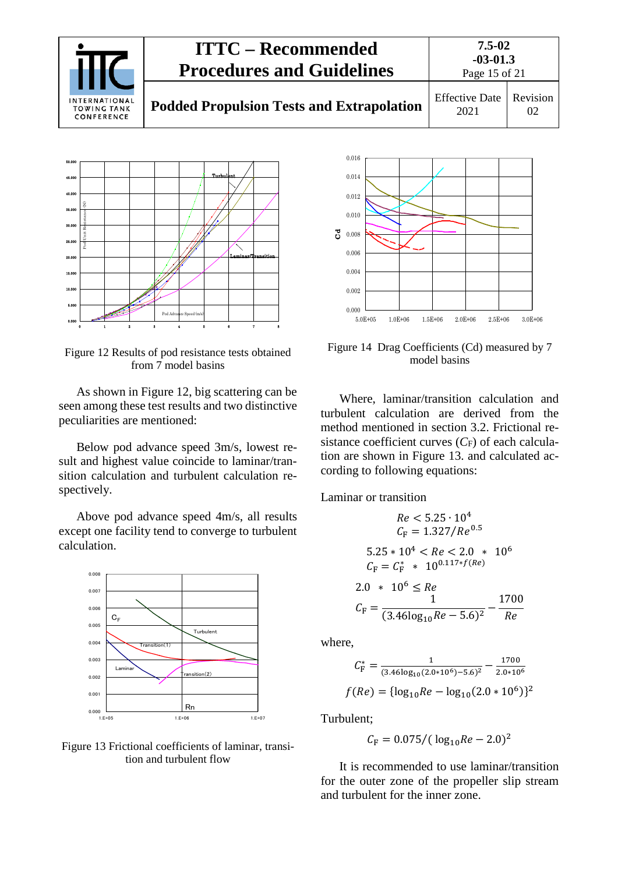



Figure 12 Results of pod resistance tests obtained from 7 model basins

As shown in Figure 12, big scattering can be seen among these test results and two distinctive peculiarities are mentioned:

Below pod advance speed 3m/s, lowest result and highest value coincide to laminar/transition calculation and turbulent calculation respectively.

Above pod advance speed 4m/s, all results except one facility tend to converge to turbulent calculation.



Figure 13 Frictional coefficients of laminar, transition and turbulent flow



Figure 14 Drag Coefficients (Cd) measured by 7 model basins

Where, laminar/transition calculation and turbulent calculation are derived from the method mentioned in section 3.2. Frictional resistance coefficient curves  $(C_F)$  of each calculation are shown in Figure 13. and calculated according to following equations:

Laminar or transition

$$
Re < 5.25 \cdot 10^4
$$
\n
$$
C_F = 1.327/Re^{0.5}
$$
\n
$$
5.25 * 10^4 < Re < 2.0 * 10^6
$$
\n
$$
C_F = C_F^* * 10^{0.117 * f(Re)}
$$
\n
$$
2.0 * 10^6 \le Re
$$
\n
$$
C_F = \frac{1}{(3.46 \log_{10} Re - 5.6)^2} - \frac{1700}{Re}
$$

where,

$$
C_{\rm F}^* = \frac{1}{(3.46\log_{10}(2.0*10^6) - 5.6)^2} - \frac{1700}{2.0*10^6}
$$

$$
f(Re) = \{ \log_{10}Re - \log_{10}(2.0*10^6) \}^2
$$

Turbulent;

$$
C_{\rm F} = 0.075 / (\log_{10} Re - 2.0)^2
$$

It is recommended to use laminar/transition for the outer zone of the propeller slip stream and turbulent for the inner zone.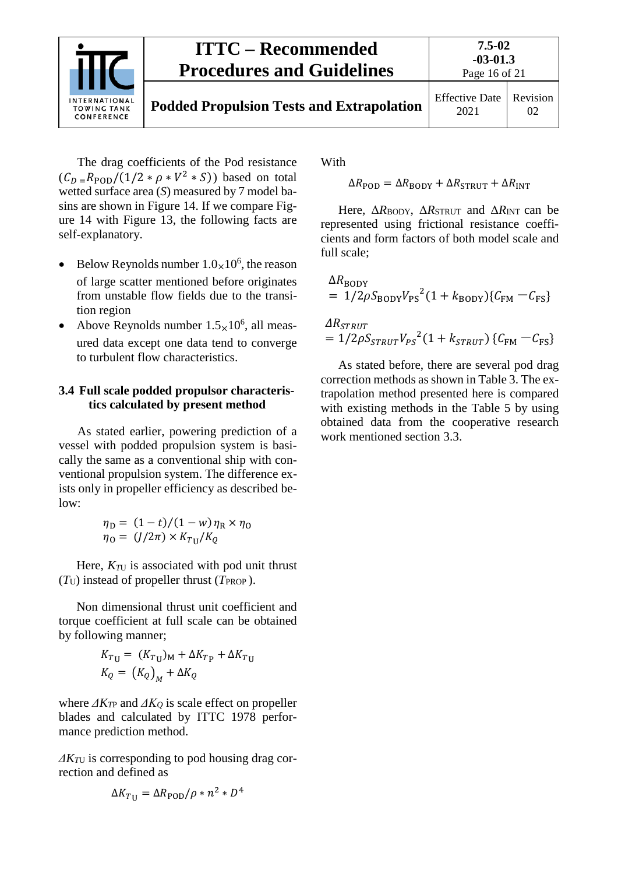

The drag coefficients of the Pod resistance  $(C_D = R_{\text{POD}}/(1/2 * \rho * V^2 * S))$  based on total wetted surface area (*S*) measured by 7 model basins are shown in Figure 14. If we compare Figure 14 with Figure 13, the following facts are self-explanatory.

- Below Reynolds number  $1.0 \times 10^6$ , the reason of large scatter mentioned before originates from unstable flow fields due to the transition region
- Above Reynolds number  $1.5_{\times}10^6$ , all measured data except one data tend to converge to turbulent flow characteristics.

#### <span id="page-15-0"></span>**3.4 Full scale podded propulsor characteristics calculated by present method**

As stated earlier, powering prediction of a vessel with podded propulsion system is basically the same as a conventional ship with conventional propulsion system. The difference exists only in propeller efficiency as described below:

$$
\eta_{\rm D} = (1 - t)/(1 - w)\eta_{\rm R} \times \eta_{\rm O}
$$

$$
\eta_{\rm O} = (J/2\pi) \times K_{\rm TU}/K_Q
$$

Here,  $K_{\text{TU}}$  is associated with pod unit thrust  $(T_U)$  instead of propeller thrust ( $T_{PROP}$ ).

Non dimensional thrust unit coefficient and torque coefficient at full scale can be obtained by following manner;

$$
K_{T\mathbf{U}} = (K_{T\mathbf{U}})_{M} + \Delta K_{T\mathbf{P}} + \Delta K_{T\mathbf{U}}
$$

$$
K_{Q} = (K_{Q})_{M} + \Delta K_{Q}
$$

where  $\Delta K_{TP}$  and  $\Delta K_Q$  is scale effect on propeller blades and calculated by ITTC 1978 performance prediction method.

*ΔKT*<sup>U</sup> is corresponding to pod housing drag correction and defined as

$$
\Delta K_{T\text{U}} = \Delta R_{\text{POD}} / \rho * n^2 * D^4
$$

With

 $\Delta R_{\text{POD}} = \Delta R_{\text{BODY}} + \Delta R_{\text{STRUT}} + \Delta R_{\text{INT}}$ 

Here, Δ*R*BODY, Δ*R*STRUT and Δ*R*INT can be represented using frictional resistance coefficients and form factors of both model scale and full scale;

$$
\Delta R_{\text{BODY}} = 1/2 \rho S_{\text{BODY}} V_{\text{PS}}^2 (1 + k_{\text{BODY}}) \{C_{\text{FM}} - C_{\text{FS}}\}
$$
  

$$
\Delta R_{\text{STRUT}} = 1/2 \rho S_{\text{STRUT}} V_{\text{PS}}^2 (1 + k_{\text{STRUT}}) \{C_{\text{FM}} - C_{\text{FS}}\}
$$

As stated before, there are several pod drag correction methods as shown in Table 3. The extrapolation method presented here is compared with existing methods in the Table 5 by using obtained data from the cooperative research work mentioned section 3.3.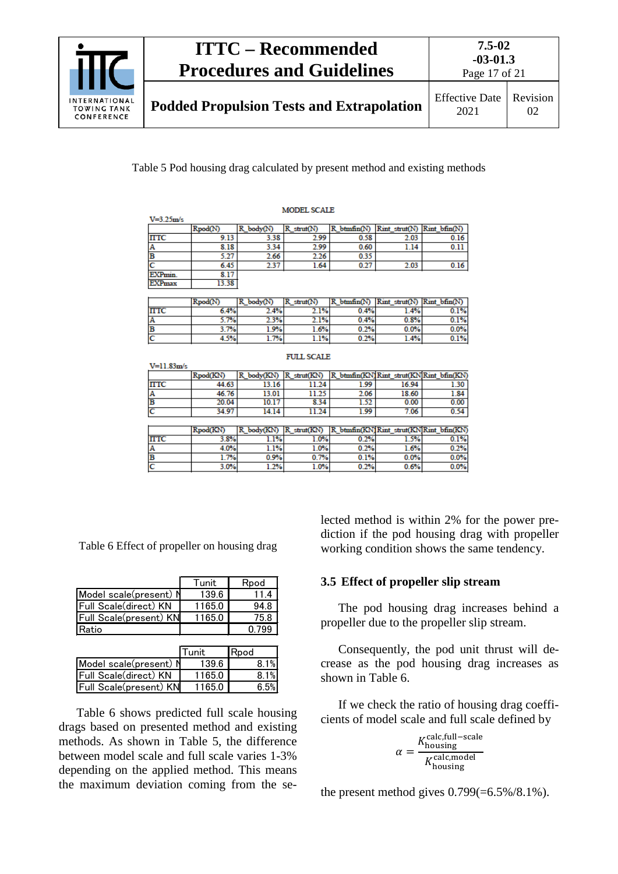

Table 5 Pod housing drag calculated by present method and existing methods

| <b>MODEL SCALE</b> |         |                    |           |                  |               |              |
|--------------------|---------|--------------------|-----------|------------------|---------------|--------------|
| $V = 3.25 m/s$     |         |                    |           |                  |               |              |
|                    | Rpod(N) | ъ<br>$K$ body( $N$ | struct(N) | $R$ btmfin $(N)$ | Rint strut(N' | Rint bfin(N) |
| <b>ITTC</b>        | 9.13    | 3.38               | 2.99      | 0.58             | 2.03          | 0.16         |
| IA.                | 8.18    | 3.34               | 2.99      | 0.60             | 1.14          | 0.11         |
| в                  | 5.27    | 2.66               | 2.26      | 0.35             |               |              |
|                    | 6.45    | 2.37               | 1.64      | 0.27             | 2.03          | 0.16         |
| EXPmin.            | 8.17    |                    |           |                  |               |              |
| <b>EXPmax</b>      | 3.38    |                    |           |                  |               |              |

|             | Rpod(N) | body(N) | strut(N)<br>R | btmfin(N) | $Rint$ strut(N) $Rint$ bfin(N) |         |
|-------------|---------|---------|---------------|-----------|--------------------------------|---------|
| <b>ITTC</b> | 6.4%    | 2.4%    | 1%            | 0.4%      | $4\%$                          | $0.1\%$ |
| IA.         | 5.7%    | $2.3\%$ | $2.1\%$       | 0.4%      | 0.8%                           | 0.1%    |
| в           | .7%     | 1.9%    | 1.6%          | 0.2%      | 0.0%                           | $0.0\%$ |
| ١C          | $+5%$   | 7%      | 1.1%          | 0.2%      | 1.4%                           | $0.1\%$ |

**FULL SCALE** 

| Rpod(KN) | R body(KN) | R strut(KN) |      |                      |                                                                                                                      |
|----------|------------|-------------|------|----------------------|----------------------------------------------------------------------------------------------------------------------|
| 44.63    | 13.16      | 11.24       | 1.99 | 16.94                | 1.30                                                                                                                 |
| 46.76    | 13.01      | 11.25       | 2.06 | 18.60                | 1.84                                                                                                                 |
| 20.04    | 10.17      | 8.34        | 1.52 | 0.00                 | 0.00                                                                                                                 |
| 34.97    | 14.14      | 11.24       | 1.99 | 7.06                 | 0.54                                                                                                                 |
|          |            |             |      |                      |                                                                                                                      |
| Rpod(KN) | R body(KN) | R strut(KN) |      |                      |                                                                                                                      |
| 3.8%     | 1.1%       | 1.0%        |      | 1.5%                 | 0.1%                                                                                                                 |
| 4.0%     |            |             |      | 1.6%                 | 0.2%                                                                                                                 |
| 1.7%     | 0.9%       |             |      | 0.0%                 | 0.0%                                                                                                                 |
| 3.0%     | $1.2\%$    |             |      | 0.6%                 | 0.0%                                                                                                                 |
|          |            |             | 1.1% | 1.0%<br>0.7%<br>1.0% | R btmfin(KN) Rint strut(KN) Rint bfin(KN)<br>R btmfin(KN)Rint strut(KN)Rint bfin(KN)<br>0.2%<br>0.2%<br>0.1%<br>0.2% |

Table 6 Effect of propeller on housing drag

|                        | Tunit  | Rpod |
|------------------------|--------|------|
| Model scale(present) N | 139.6  | 114  |
| Full Scale(direct) KN  | 1165.0 | 94.8 |
| Full Scale(present) KN | 1165.0 | 75.8 |
| Ratio                  |        | 799  |

|                        | lTunit. | <b>I</b> Rpod |
|------------------------|---------|---------------|
| Model scale(present) N | 139.6   | 8.1%          |
| Full Scale(direct) KN  | 1165.0  | 8.1%          |
| Full Scale(present) KN | 1165.0  | 6 5%          |
|                        |         |               |

Table 6 shows predicted full scale housing drags based on presented method and existing methods. As shown in Table 5, the difference between model scale and full scale varies 1-3% depending on the applied method. This means the maximum deviation coming from the selected method is within 2% for the power prediction if the pod housing drag with propeller working condition shows the same tendency.

#### <span id="page-16-0"></span>**3.5 Effect of propeller slip stream**

The pod housing drag increases behind a propeller due to the propeller slip stream.

Consequently, the pod unit thrust will decrease as the pod housing drag increases as shown in Table 6.

If we check the ratio of housing drag coefficients of model scale and full scale defined by

$$
\alpha = \frac{K_{\text{housing}}^{\text{calc,full-scale}}}{K_{\text{housing}}^{\text{calc,model}}}
$$

the present method gives  $0.799(=6.5\%/8.1\%)$ .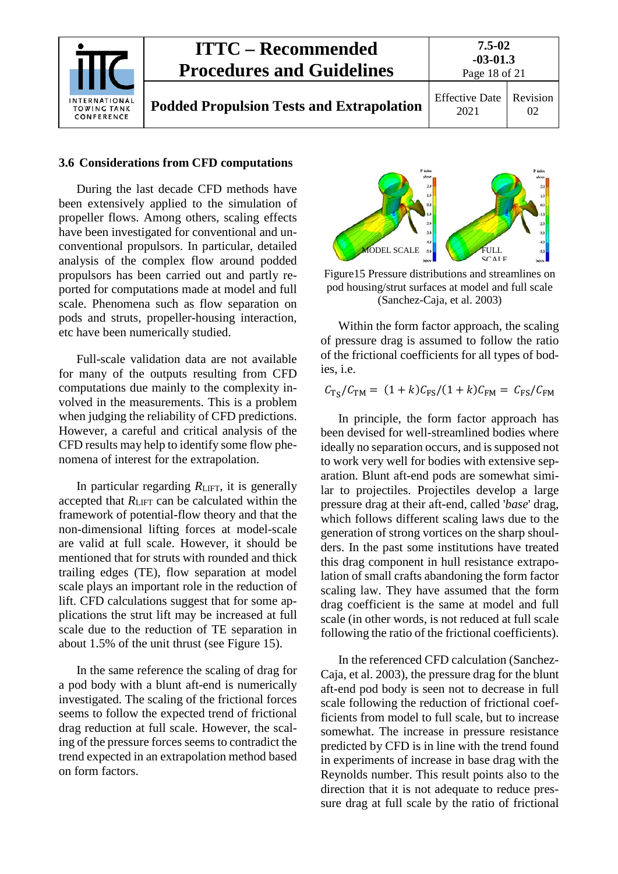

#### <span id="page-17-0"></span>**3.6 Considerations from CFD computations**

During the last decade CFD methods have been extensively applied to the simulation of propeller flows. Among others, scaling effects have been investigated for conventional and unconventional propulsors. In particular, detailed analysis of the complex flow around podded propulsors has been carried out and partly reported for computations made at model and full scale. Phenomena such as flow separation on pods and struts, propeller-housing interaction, etc have been numerically studied.

Full-scale validation data are not available for many of the outputs resulting from CFD computations due mainly to the complexity involved in the measurements. This is a problem when judging the reliability of CFD predictions. However, a careful and critical analysis of the CFD results may help to identify some flow phenomena of interest for the extrapolation.

In particular regarding  $R<sub>LIFT</sub>$ , it is generally accepted that  $R<sub>LIFT</sub>$  can be calculated within the framework of potential-flow theory and that the non-dimensional lifting forces at model-scale are valid at full scale. However, it should be mentioned that for struts with rounded and thick trailing edges (TE), flow separation at model scale plays an important role in the reduction of lift. CFD calculations suggest that for some applications the strut lift may be increased at full scale due to the reduction of TE separation in about 1.5% of the unit thrust (see Figure 15).

In the same reference the scaling of drag for a pod body with a blunt aft-end is numerically investigated. The scaling of the frictional forces seems to follow the expected trend of frictional drag reduction at full scale. However, the scaling of the pressure forces seems to contradict the trend expected in an extrapolation method based on form factors.



Figure15 Pressure distributions and streamlines on pod housing/strut surfaces at model and full scale (Sanchez-Caja, et al. 2003)

Within the form factor approach, the scaling of pressure drag is assumed to follow the ratio of the frictional coefficients for all types of bodies, i.e.

$$
C_{\text{TS}}/C_{\text{TM}} = (1+k)C_{\text{FS}}/(1+k)C_{\text{FM}} = C_{\text{FS}}/C_{\text{FM}}
$$

In principle, the form factor approach has been devised for well-streamlined bodies where ideally no separation occurs, and is supposed not to work very well for bodies with extensive separation. Blunt aft-end pods are somewhat similar to projectiles. Projectiles develop a large pressure drag at their aft-end, called '*base*' drag, which follows different scaling laws due to the generation of strong vortices on the sharp shoulders. In the past some institutions have treated this drag component in hull resistance extrapolation of small crafts abandoning the form factor scaling law. They have assumed that the form drag coefficient is the same at model and full scale (in other words, is not reduced at full scale following the ratio of the frictional coefficients).

In the referenced CFD calculation (Sanchez-Caja, et al. 2003), the pressure drag for the blunt aft-end pod body is seen not to decrease in full scale following the reduction of frictional coefficients from model to full scale, but to increase somewhat. The increase in pressure resistance predicted by CFD is in line with the trend found in experiments of increase in base drag with the Reynolds number. This result points also to the direction that it is not adequate to reduce pressure drag at full scale by the ratio of frictional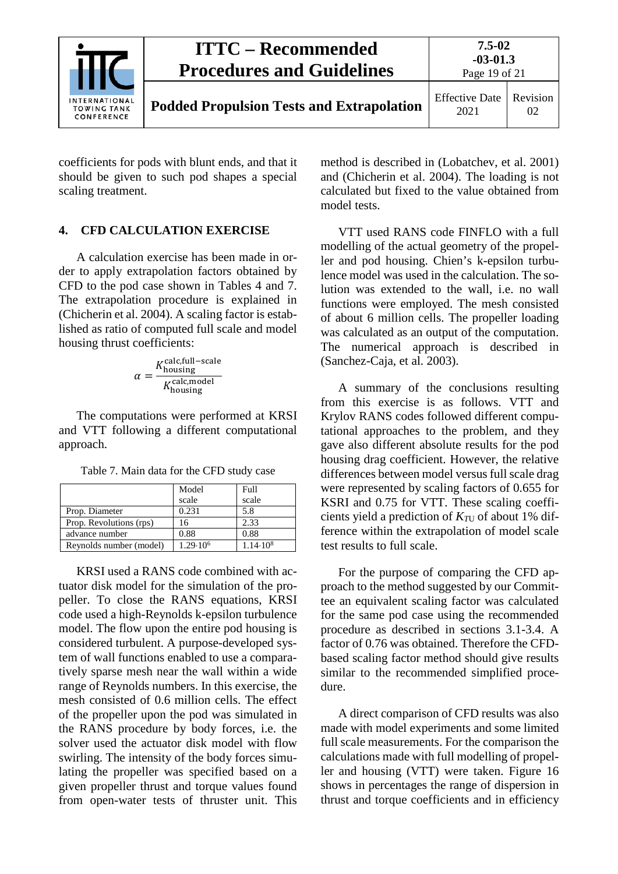|                                                          | <b>ITTC – Recommended</b><br><b>Procedures and Guidelines</b> | $7.5 - 02$<br>$-03-01.3$<br>Page 19 of 21 |                |
|----------------------------------------------------------|---------------------------------------------------------------|-------------------------------------------|----------------|
| <b>INTERNATIONAL</b><br><b>TOWING TANK</b><br>CONFERENCE | <b>Podded Propulsion Tests and Extrapolation</b>              | <b>Effective Date</b><br>2021             | Revision<br>02 |

coefficients for pods with blunt ends, and that it should be given to such pod shapes a special scaling treatment.

#### <span id="page-18-0"></span>**4. CFD CALCULATION EXERCISE**

A calculation exercise has been made in order to apply extrapolation factors obtained by CFD to the pod case shown in Tables 4 and 7. The extrapolation procedure is explained in (Chicherin et al. 2004). A scaling factor is established as ratio of computed full scale and model housing thrust coefficients:

$$
\alpha = \frac{K_{\text{housing}}^{\text{calc,full-scale}}}{K_{\text{housing}}^{\text{calc,model}}}
$$

The computations were performed at KRSI and VTT following a different computational approach.

|                         | Model             | Full              |
|-------------------------|-------------------|-------------------|
|                         | scale             | scale             |
| Prop. Diameter          | 0.231             | 5.8               |
| Prop. Revolutions (rps) | 16                | 2.33              |
| advance number          | 0.88              | 0.88              |
| Reynolds number (model) | $1.29 \cdot 10^6$ | $1.14 \cdot 10^8$ |

Table 7. Main data for the CFD study case

KRSI used a RANS code combined with actuator disk model for the simulation of the propeller. To close the RANS equations, KRSI code used a high-Reynolds k-epsilon turbulence model. The flow upon the entire pod housing is considered turbulent. A purpose-developed system of wall functions enabled to use a comparatively sparse mesh near the wall within a wide range of Reynolds numbers. In this exercise, the mesh consisted of 0.6 million cells. The effect of the propeller upon the pod was simulated in the RANS procedure by body forces, i.e. the solver used the actuator disk model with flow swirling. The intensity of the body forces simulating the propeller was specified based on a given propeller thrust and torque values found from open-water tests of thruster unit. This method is described in (Lobatchev, et al. 2001) and (Chicherin et al. 2004). The loading is not calculated but fixed to the value obtained from model tests.

VTT used RANS code FINFLO with a full modelling of the actual geometry of the propeller and pod housing. Chien's k-epsilon turbulence model was used in the calculation. The solution was extended to the wall, i.e. no wall functions were employed. The mesh consisted of about 6 million cells. The propeller loading was calculated as an output of the computation. The numerical approach is described in (Sanchez-Caja, et al. 2003).

A summary of the conclusions resulting from this exercise is as follows. VTT and Krylov RANS codes followed different computational approaches to the problem, and they gave also different absolute results for the pod housing drag coefficient. However, the relative differences between model versus full scale drag were represented by scaling factors of 0.655 for KSRI and 0.75 for VTT. These scaling coefficients yield a prediction of  $K_{\text{TU}}$  of about 1% difference within the extrapolation of model scale test results to full scale.

For the purpose of comparing the CFD approach to the method suggested by our Committee an equivalent scaling factor was calculated for the same pod case using the recommended procedure as described in sections 3.1-3.4. A factor of 0.76 was obtained. Therefore the CFDbased scaling factor method should give results similar to the recommended simplified procedure.

A direct comparison of CFD results was also made with model experiments and some limited full scale measurements. For the comparison the calculations made with full modelling of propeller and housing (VTT) were taken. Figure 16 shows in percentages the range of dispersion in thrust and torque coefficients and in efficiency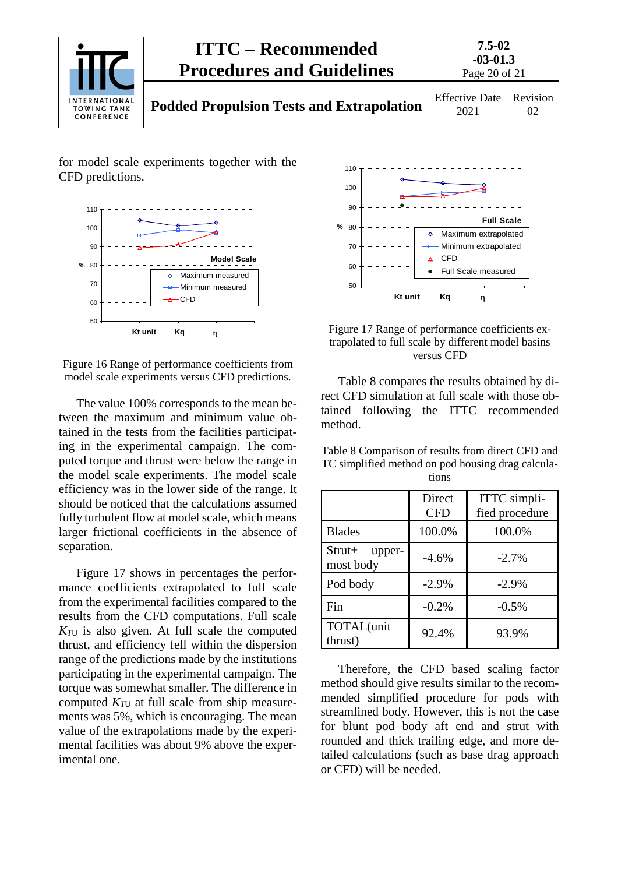

for model scale experiments together with the CFD predictions.



Figure 16 Range of performance coefficients from model scale experiments versus CFD predictions.

The value 100% corresponds to the mean between the maximum and minimum value obtained in the tests from the facilities participating in the experimental campaign. The computed torque and thrust were below the range in the model scale experiments. The model scale efficiency was in the lower side of the range. It should be noticed that the calculations assumed fully turbulent flow at model scale, which means larger frictional coefficients in the absence of separation.

Figure 17 shows in percentages the performance coefficients extrapolated to full scale from the experimental facilities compared to the results from the CFD computations. Full scale  $K_{\text{TU}}$  is also given. At full scale the computed thrust, and efficiency fell within the dispersion range of the predictions made by the institutions participating in the experimental campaign. The torque was somewhat smaller. The difference in computed  $K_{\tau U}$  at full scale from ship measurements was 5%, which is encouraging. The mean value of the extrapolations made by the experimental facilities was about 9% above the experimental one.





Table 8 compares the results obtained by direct CFD simulation at full scale with those obtained following the ITTC recommended method.

Table 8 Comparison of results from direct CFD and TC simplified method on pod housing drag calculations

|                                 | Direct<br><b>CFD</b> | ITTC simpli-<br>fied procedure |
|---------------------------------|----------------------|--------------------------------|
| <b>Blades</b>                   | 100.0%               | 100.0%                         |
| $Strut+$<br>upper-<br>most body | $-4.6%$              | $-2.7\%$                       |
| Pod body                        | $-2.9%$              | $-2.9%$                        |
| Fin                             | $-0.2%$              | $-0.5%$                        |
| TOTAL(unit<br>thrust)           | 92.4%                | 93.9%                          |

Therefore, the CFD based scaling factor method should give results similar to the recommended simplified procedure for pods with streamlined body. However, this is not the case for blunt pod body aft end and strut with rounded and thick trailing edge, and more detailed calculations (such as base drag approach or CFD) will be needed.